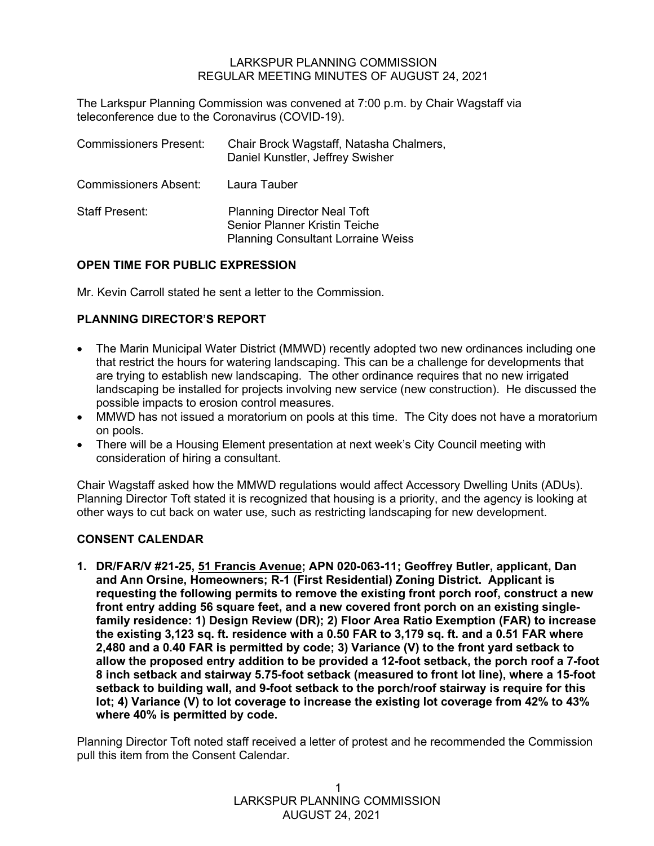#### LARKSPUR PLANNING COMMISSION REGULAR MEETING MINUTES OF AUGUST 24, 2021

The Larkspur Planning Commission was convened at 7:00 p.m. by Chair Wagstaff via teleconference due to the Coronavirus (COVID-19).

| <b>Commissioners Present:</b> | Chair Brock Wagstaff, Natasha Chalmers,<br>Daniel Kunstler, Jeffrey Swisher                                             |
|-------------------------------|-------------------------------------------------------------------------------------------------------------------------|
| <b>Commissioners Absent:</b>  | Laura Tauber                                                                                                            |
| <b>Staff Present:</b>         | <b>Planning Director Neal Toft</b><br><b>Senior Planner Kristin Teiche</b><br><b>Planning Consultant Lorraine Weiss</b> |

## **OPEN TIME FOR PUBLIC EXPRESSION**

Mr. Kevin Carroll stated he sent a letter to the Commission.

## **PLANNING DIRECTOR'S REPORT**

- The Marin Municipal Water District (MMWD) recently adopted two new ordinances including one that restrict the hours for watering landscaping. This can be a challenge for developments that are trying to establish new landscaping. The other ordinance requires that no new irrigated landscaping be installed for projects involving new service (new construction). He discussed the possible impacts to erosion control measures.
- MMWD has not issued a moratorium on pools at this time. The City does not have a moratorium on pools.
- There will be a Housing Element presentation at next week's City Council meeting with consideration of hiring a consultant.

Chair Wagstaff asked how the MMWD regulations would affect Accessory Dwelling Units (ADUs). Planning Director Toft stated it is recognized that housing is a priority, and the agency is looking at other ways to cut back on water use, such as restricting landscaping for new development.

## **CONSENT CALENDAR**

**1. DR/FAR/V #21-25, 51 Francis Avenue; APN 020-063-11; Geoffrey Butler, applicant, Dan and Ann Orsine, Homeowners; R-1 (First Residential) Zoning District. Applicant is requesting the following permits to remove the existing front porch roof, construct a new front entry adding 56 square feet, and a new covered front porch on an existing singlefamily residence: 1) Design Review (DR); 2) Floor Area Ratio Exemption (FAR) to increase the existing 3,123 sq. ft. residence with a 0.50 FAR to 3,179 sq. ft. and a 0.51 FAR where 2,480 and a 0.40 FAR is permitted by code; 3) Variance (V) to the front yard setback to allow the proposed entry addition to be provided a 12-foot setback, the porch roof a 7-foot 8 inch setback and stairway 5.75-foot setback (measured to front lot line), where a 15-foot setback to building wall, and 9-foot setback to the porch/roof stairway is require for this lot; 4) Variance (V) to lot coverage to increase the existing lot coverage from 42% to 43% where 40% is permitted by code.**

Planning Director Toft noted staff received a letter of protest and he recommended the Commission pull this item from the Consent Calendar.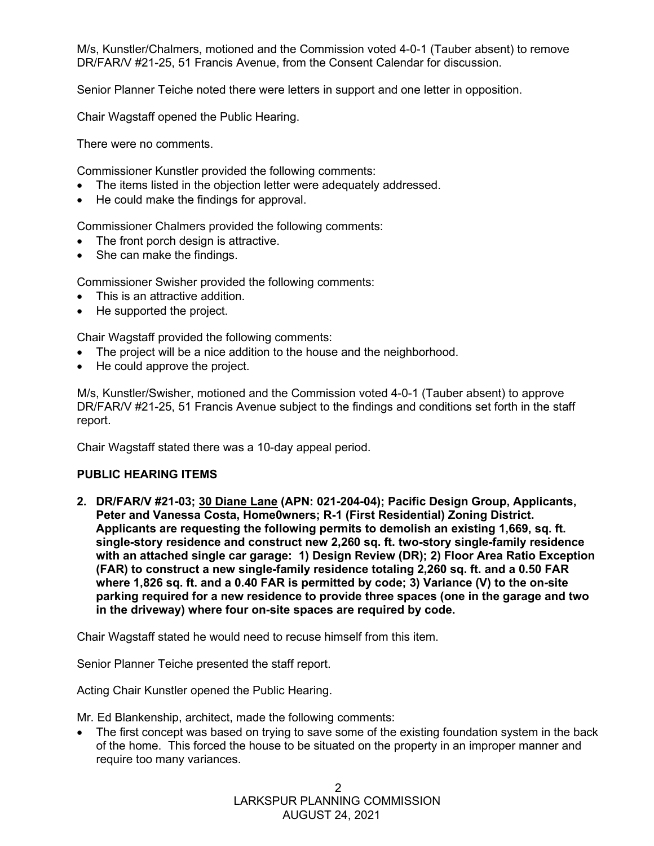M/s, Kunstler/Chalmers, motioned and the Commission voted 4-0-1 (Tauber absent) to remove DR/FAR/V #21-25, 51 Francis Avenue, from the Consent Calendar for discussion.

Senior Planner Teiche noted there were letters in support and one letter in opposition.

Chair Wagstaff opened the Public Hearing.

There were no comments.

Commissioner Kunstler provided the following comments:

- The items listed in the objection letter were adequately addressed.
- He could make the findings for approval.

Commissioner Chalmers provided the following comments:

- The front porch design is attractive.
- She can make the findings.

Commissioner Swisher provided the following comments:

- This is an attractive addition.
- He supported the project.

Chair Wagstaff provided the following comments:

- The project will be a nice addition to the house and the neighborhood.
- He could approve the project.

M/s, Kunstler/Swisher, motioned and the Commission voted 4-0-1 (Tauber absent) to approve DR/FAR/V #21-25, 51 Francis Avenue subject to the findings and conditions set forth in the staff report.

Chair Wagstaff stated there was a 10-day appeal period.

## **PUBLIC HEARING ITEMS**

**2. DR/FAR/V #21-03; 30 Diane Lane (APN: 021-204-04); Pacific Design Group, Applicants, Peter and Vanessa Costa, Home0wners; R-1 (First Residential) Zoning District. Applicants are requesting the following permits to demolish an existing 1,669, sq. ft. single-story residence and construct new 2,260 sq. ft. two-story single-family residence with an attached single car garage: 1) Design Review (DR); 2) Floor Area Ratio Exception (FAR) to construct a new single-family residence totaling 2,260 sq. ft. and a 0.50 FAR where 1,826 sq. ft. and a 0.40 FAR is permitted by code; 3) Variance (V) to the on-site parking required for a new residence to provide three spaces (one in the garage and two in the driveway) where four on-site spaces are required by code.**

Chair Wagstaff stated he would need to recuse himself from this item.

Senior Planner Teiche presented the staff report.

Acting Chair Kunstler opened the Public Hearing.

Mr. Ed Blankenship, architect, made the following comments:

• The first concept was based on trying to save some of the existing foundation system in the back of the home. This forced the house to be situated on the property in an improper manner and require too many variances.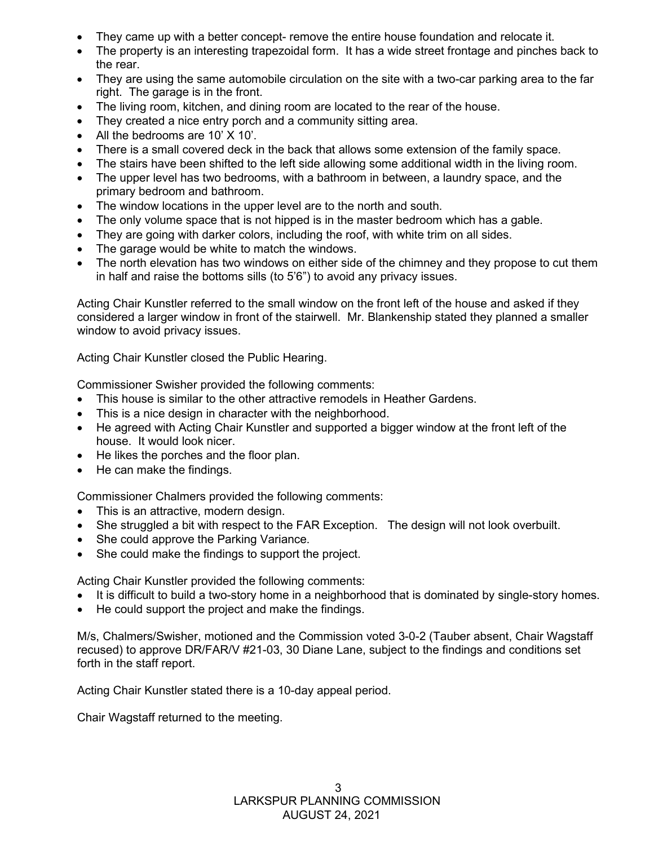- They came up with a better concept- remove the entire house foundation and relocate it.
- The property is an interesting trapezoidal form. It has a wide street frontage and pinches back to the rear.
- They are using the same automobile circulation on the site with a two-car parking area to the far right. The garage is in the front.
- The living room, kitchen, and dining room are located to the rear of the house.
- They created a nice entry porch and a community sitting area.
- All the bedrooms are 10' X 10'.
- There is a small covered deck in the back that allows some extension of the family space.
- The stairs have been shifted to the left side allowing some additional width in the living room.
- The upper level has two bedrooms, with a bathroom in between, a laundry space, and the primary bedroom and bathroom.
- The window locations in the upper level are to the north and south.
- The only volume space that is not hipped is in the master bedroom which has a gable.
- They are going with darker colors, including the roof, with white trim on all sides.
- The garage would be white to match the windows.
- The north elevation has two windows on either side of the chimney and they propose to cut them in half and raise the bottoms sills (to 5'6") to avoid any privacy issues.

Acting Chair Kunstler referred to the small window on the front left of the house and asked if they considered a larger window in front of the stairwell. Mr. Blankenship stated they planned a smaller window to avoid privacy issues.

Acting Chair Kunstler closed the Public Hearing.

Commissioner Swisher provided the following comments:

- This house is similar to the other attractive remodels in Heather Gardens.
- This is a nice design in character with the neighborhood.
- He agreed with Acting Chair Kunstler and supported a bigger window at the front left of the house. It would look nicer.
- He likes the porches and the floor plan.
- He can make the findings.

Commissioner Chalmers provided the following comments:

- This is an attractive, modern design.
- She struggled a bit with respect to the FAR Exception. The design will not look overbuilt.
- She could approve the Parking Variance.
- She could make the findings to support the project.

Acting Chair Kunstler provided the following comments:

- It is difficult to build a two-story home in a neighborhood that is dominated by single-story homes.
- He could support the project and make the findings.

M/s, Chalmers/Swisher, motioned and the Commission voted 3-0-2 (Tauber absent, Chair Wagstaff recused) to approve DR/FAR/V #21-03, 30 Diane Lane, subject to the findings and conditions set forth in the staff report.

Acting Chair Kunstler stated there is a 10-day appeal period.

Chair Wagstaff returned to the meeting.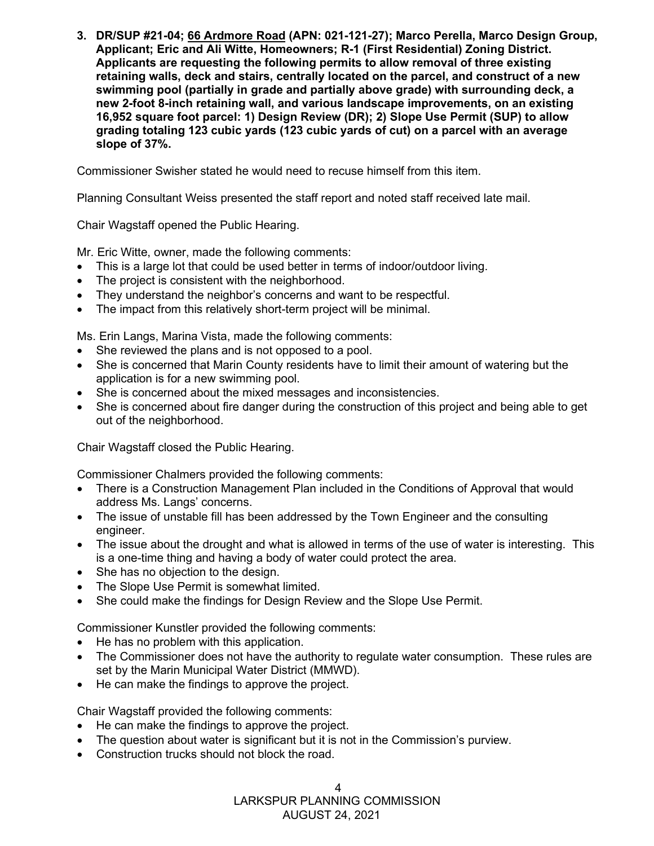**3. DR/SUP #21-04; 66 Ardmore Road (APN: 021-121-27); Marco Perella, Marco Design Group, Applicant; Eric and Ali Witte, Homeowners; R-1 (First Residential) Zoning District. Applicants are requesting the following permits to allow removal of three existing retaining walls, deck and stairs, centrally located on the parcel, and construct of a new swimming pool (partially in grade and partially above grade) with surrounding deck, a new 2-foot 8-inch retaining wall, and various landscape improvements, on an existing 16,952 square foot parcel: 1) Design Review (DR); 2) Slope Use Permit (SUP) to allow grading totaling 123 cubic yards (123 cubic yards of cut) on a parcel with an average slope of 37%.**

Commissioner Swisher stated he would need to recuse himself from this item.

Planning Consultant Weiss presented the staff report and noted staff received late mail.

Chair Wagstaff opened the Public Hearing.

Mr. Eric Witte, owner, made the following comments:

- This is a large lot that could be used better in terms of indoor/outdoor living.
- The project is consistent with the neighborhood.
- They understand the neighbor's concerns and want to be respectful.
- The impact from this relatively short-term project will be minimal.

Ms. Erin Langs, Marina Vista, made the following comments:

- She reviewed the plans and is not opposed to a pool.
- She is concerned that Marin County residents have to limit their amount of watering but the application is for a new swimming pool.
- She is concerned about the mixed messages and inconsistencies.
- She is concerned about fire danger during the construction of this project and being able to get out of the neighborhood.

Chair Wagstaff closed the Public Hearing.

Commissioner Chalmers provided the following comments:

- There is a Construction Management Plan included in the Conditions of Approval that would address Ms. Langs' concerns.
- The issue of unstable fill has been addressed by the Town Engineer and the consulting engineer.
- The issue about the drought and what is allowed in terms of the use of water is interesting. This is a one-time thing and having a body of water could protect the area.
- She has no objection to the design.
- The Slope Use Permit is somewhat limited.
- She could make the findings for Design Review and the Slope Use Permit.

Commissioner Kunstler provided the following comments:

- He has no problem with this application.
- The Commissioner does not have the authority to regulate water consumption. These rules are set by the Marin Municipal Water District (MMWD).
- He can make the findings to approve the project.

Chair Wagstaff provided the following comments:

- He can make the findings to approve the project.
- The question about water is significant but it is not in the Commission's purview.
- Construction trucks should not block the road.

LARKSPUR PLANNING COMMISSION

AUGUST 24, 2021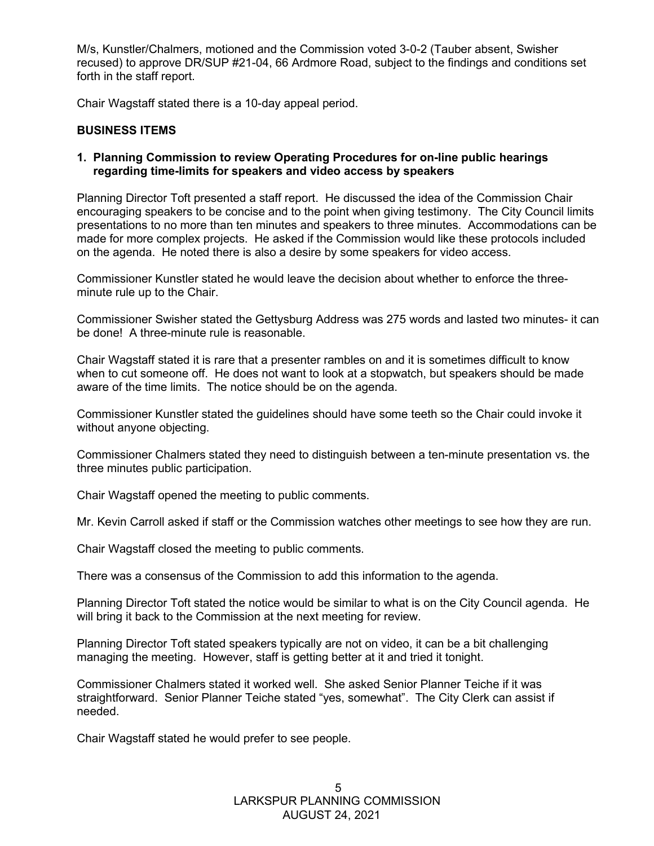M/s, Kunstler/Chalmers, motioned and the Commission voted 3-0-2 (Tauber absent, Swisher recused) to approve DR/SUP #21-04, 66 Ardmore Road, subject to the findings and conditions set forth in the staff report.

Chair Wagstaff stated there is a 10-day appeal period.

#### **BUSINESS ITEMS**

#### **1. Planning Commission to review Operating Procedures for on-line public hearings regarding time-limits for speakers and video access by speakers**

Planning Director Toft presented a staff report. He discussed the idea of the Commission Chair encouraging speakers to be concise and to the point when giving testimony. The City Council limits presentations to no more than ten minutes and speakers to three minutes. Accommodations can be made for more complex projects. He asked if the Commission would like these protocols included on the agenda. He noted there is also a desire by some speakers for video access.

Commissioner Kunstler stated he would leave the decision about whether to enforce the threeminute rule up to the Chair.

Commissioner Swisher stated the Gettysburg Address was 275 words and lasted two minutes- it can be done! A three-minute rule is reasonable.

Chair Wagstaff stated it is rare that a presenter rambles on and it is sometimes difficult to know when to cut someone off. He does not want to look at a stopwatch, but speakers should be made aware of the time limits. The notice should be on the agenda.

Commissioner Kunstler stated the guidelines should have some teeth so the Chair could invoke it without anyone objecting.

Commissioner Chalmers stated they need to distinguish between a ten-minute presentation vs. the three minutes public participation.

Chair Wagstaff opened the meeting to public comments.

Mr. Kevin Carroll asked if staff or the Commission watches other meetings to see how they are run.

Chair Wagstaff closed the meeting to public comments.

There was a consensus of the Commission to add this information to the agenda.

Planning Director Toft stated the notice would be similar to what is on the City Council agenda. He will bring it back to the Commission at the next meeting for review.

Planning Director Toft stated speakers typically are not on video, it can be a bit challenging managing the meeting. However, staff is getting better at it and tried it tonight.

Commissioner Chalmers stated it worked well. She asked Senior Planner Teiche if it was straightforward. Senior Planner Teiche stated "yes, somewhat". The City Clerk can assist if needed.

Chair Wagstaff stated he would prefer to see people.